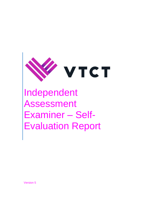

## Independent Assessment Examiner – Self-Evaluation Report

Version 5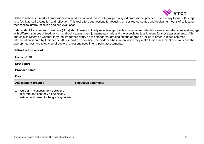

Self-evaluation is a mark of professionalism in education and it is an integral part of good professional practice. The primary focus of this report is to facilitate self-evaluation and reflection. This tool offers suggestions for focusing on desired outcomes and designing means of collecting feedback to inform reflection and self-evaluation.

Independent Assessment Examiners (IAEs) should use a critically reflective approach to re-examine selected assessment decisions and engage with different sources of feedback on end-point assessment judgements made and the associated justifications for those assessments. IAEs should also reflect on whether they require further clarity on the standards, grading criteria or grade profiles in order to reach common interpretation shared by their peers. IAEs should also consider the evidence-base upon which they make their assessment decisions and the appropriateness and relevance of any oral questions used in end-point assessments.

## **Self-reflection record**

| Name of IAE:                                                                                                                |                            |  |  |  |
|-----------------------------------------------------------------------------------------------------------------------------|----------------------------|--|--|--|
| <b>EPA centre:</b>                                                                                                          |                            |  |  |  |
| <b>Provider name:</b>                                                                                                       |                            |  |  |  |
| Date:                                                                                                                       |                            |  |  |  |
| <b>Assessment practice</b>                                                                                                  | <b>Reflective comments</b> |  |  |  |
| 1. Were all my assessment decisions<br>accurate and can they all be clearly<br>justified and linked to the grading criteria |                            |  |  |  |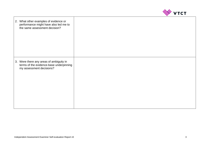

| 2. What other examples of evidence or<br>performance might have also led me to<br>the same assessment decision? |  |
|-----------------------------------------------------------------------------------------------------------------|--|
| 3. Were there any areas of ambiguity in<br>terms of the evidence-base underpinning<br>my assessment decisions?  |  |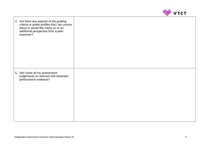

| 4. Are there any aspects of the grading<br>criteria or grade profiles that I am unsure<br>about or would like clarity on or an<br>additional perspective from a peer<br>examiner? |  |
|-----------------------------------------------------------------------------------------------------------------------------------------------------------------------------------|--|
| 5. Did I base all my assessment<br>judgements on relevant and observed<br>performance evidence?                                                                                   |  |

٦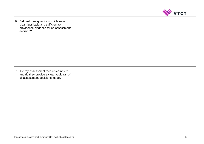

| 6. Did I ask oral questions which were<br>clear, justifiable and sufficient to<br>providence evidence for an assessment<br>decision? |  |
|--------------------------------------------------------------------------------------------------------------------------------------|--|
| 7. Are my assessment records complete<br>and do they provide a clear audit trail of<br>all assessment decisions made?                |  |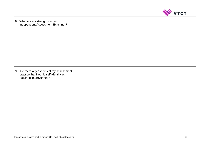

| 8. What are my strengths as an<br>Independent Assessment Examiner?                                            |  |
|---------------------------------------------------------------------------------------------------------------|--|
| 9. Are there any aspects of my assessment<br>practice that I would self-identify as<br>requiring improvement? |  |